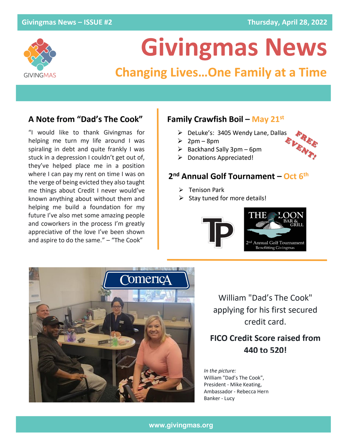

# **Givingmas News**

## **Changing Lives…One Family at a Time**

"I would like to thank Givingmas for helping me turn my life around I was spiraling in debt and quite frankly I was stuck in a depression I couldn't get out of, they've helped place me in a position where I can pay my rent on time I was on the verge of being evicted they also taught me things about Credit I never would've known anything about without them and helping me build a foundation for my future I've also met some amazing people and coworkers in the process I'm greatly appreciative of the love I've been shown and aspire to do the same." – "The Cook"

#### **A Note from "Dad's The Cook" Family Crawfish Boil – May 21st**

- ➢ DeLuke's: 3405 Wendy Lane, Dallas
- $\geqslant$  2pm 8pm
- $\triangleright$  Backhand Sally 3pm 6pm
- ➢ Donations Appreciated!

#### **2 nd Annual Golf Tournament – Oct 6 th**

- ➢ Tenison Park
- $\triangleright$  Stay tuned for more details!





William "Dad's The Cook" applying for his first secured credit card.

### **FICO Credit Score raised from 440 to 520!**

*In the picture:* William "Dad's The Cook", President - Mike Keating, Ambassador - Rebecca Hern Banker - Lucy

#### **www.givingmas.org**